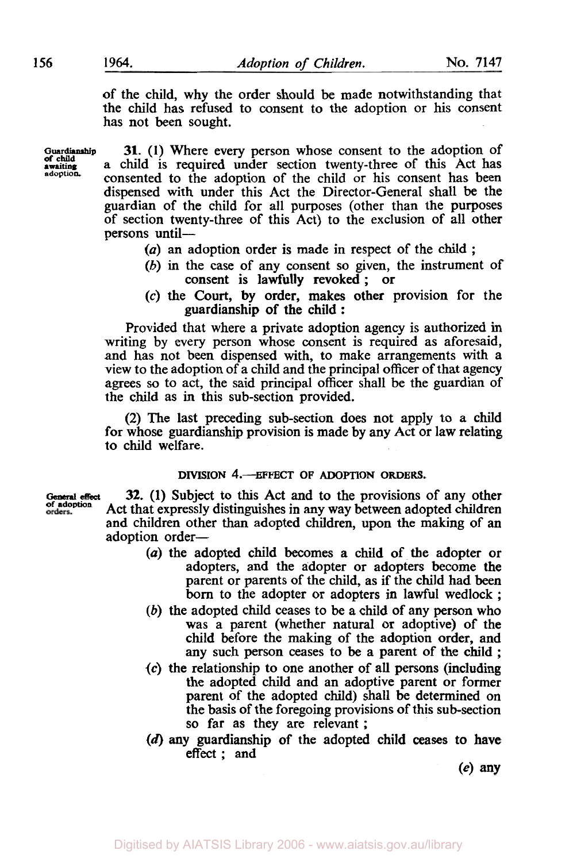of the child, why the order should be made notwithstanding that the child has refused to consent to the adoption or his consent has not been sought.

**Guardianship awaiting**  *of* **child adoption** 

**31. (1)** Where every person whose consent to the adoption of a child is required under section twenty-three of this Act has consented to the adoption of the child or his consent has been dispensed with under this Act the Director-Genera1 shall be the guardian of the child for all purposes (other than the purposes of section twenty-three of this Act) to the exclusion of all other persons until-

- *(a)* an adoption order is made in respect of the child ;
- *(b)* in the case of any consent so given, the instrument of consent is lawfully revoked ; or
- (c) the Court, by order, makes other provision for the guardianship of the child :

Provided that where a private adoption agency is authorized in writing by every person whose consent is required as aforesaid, and has not been dispensed with, to make arrangements with a view to the adoption of a child and the principal officer of that agency agrees *so* to act, the said principal officer shall be the guardian of the child as in this sub-section provided.

(2) The last preceding sub-section does not apply to a child for whose guardianship provision is made by any Act or law relating to child welfare.

#### **DIVISION** 4.-EFFECT **OF ADOPTION ORDERS.**

**General effect**<br>of adoption<br>orders.

**32.** (1) Subject to this Act and to the provisions of any other Act that expressly distinguishes in any way between adopted children and children other **than** adopted children, upon the making of an adoption order-

- *(a)* the adopted child becomes a child of the adopter or adopters, and the adopter or adopters become the parent or parents of the child, as if the child had **been born** to the adopter or adopters in lawful wedlock ;
- *(b)* the adopted child ceases to be a child of any person who was a parent (whether natural or adoptive) of the child before the making of the adoption order, and any such person ceases to be a parent of the child ;
- *(c)* the relationship to one another of all persons (including the adopted child and an adoptive parent or former parent of the adopted child) shall be determined on the basis of the foregoing provisions of this sub-section so far as they are relevant ;
- **(a) any** guardianship of the adopted child *ceases* **to** have **effect;** and

(e) **any**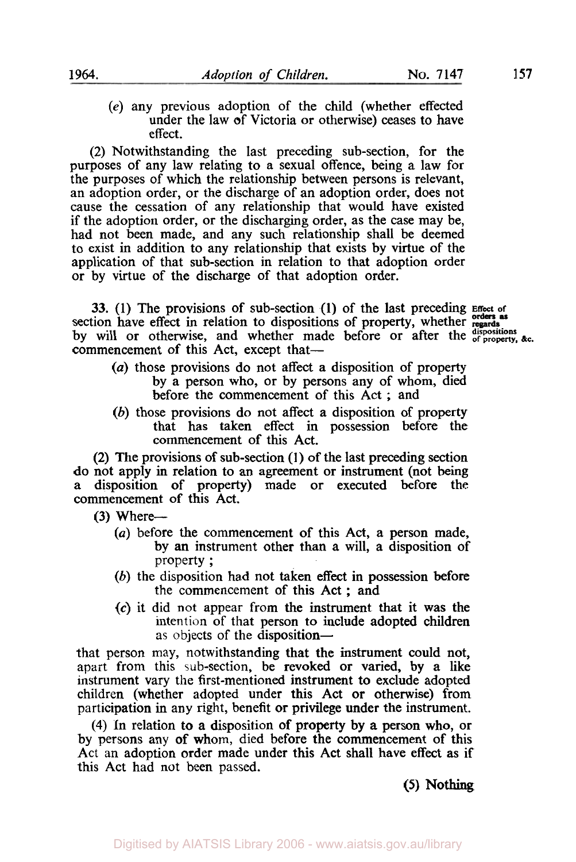- 
- (e) any previous adoption of the child (whether effected under the law of Victoria or otherwise) ceases to have effect.

(2) Notwithstanding the last preceding sub-section, for the purposes of any law relating to a sexual offence, being a law for the purposes of which the relationship between persons is relevant, an adoption order, or the discharge of an adoption order, does not cause the cessation of any relationship that would have existed if the adoption order, or the discharging order, as the case may be, had not been made, and any such relationship shall be deemed to exist in addition to any relationship that exists by virtue of the application of that sub-section in relation to that adoption order or by virtue of the discharge of that adoption order.

33. **(1)** The provisions of sub-section **(1)** of the last preceding **Effect of**  section have effect in relation to dispositions of property, whether by will or otherwise, and whether made before or after the dispositions  $\&c$ . commencement of this Act, except that-

- *(a)* those provisions do not affect a disposition of property by a person who, or by persons any of whom, died before the commencement of this Act ; and
- (b) those provisions do not affect a disposition of property that has taken effect in possession before the commencement of this Act.

(2) The provisions of sub-section **(1)** of the last preceding section do not apply in relation to an agreement or instrument (not being disposition of property) made or executed before the commencement of this Act.

 $(3)$  Where--

- *(a)* before the commencement of this Act, a person made, by an instrument other than a will, a disposition of property ;
- (b) the disposition had not taken effect in possession **before**  the commencement of this Act ; and
- *(c)* it did not appear from the instrument that it was the intention of that person to include adopted children as objects of the disposition-

that person may, notwithstanding that the instrument could not, apart from this sub-section, be revoked or varied, by a like instrument vary the first-mentioned instrument to exclude adopted children (whether adopted under this Act or otherwise) from participation in any right, benefit or privilege under the instrument.

**(4)** In relation to a disposition of property by a person **who,** or by persons any of whom, died before the commencement of this Act an adoption order made under this Act shall have effect as if this Act had not been passed.

*(5)* **Nothing**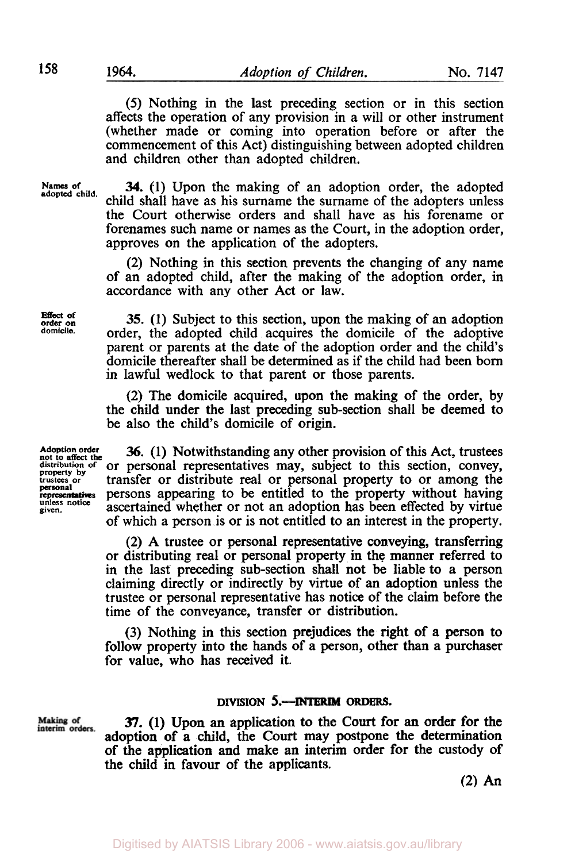*(5)* Nothing in the last preceding section or in this section affects the operation of any provision in a will or other instrument (whether made or coming into operation before or after the commencement of this Act) distinguishing between adopted children and children other than adopted children.

Names of adopted child.

**34. (1)** Upon the making of an adoption order, the adopted child shall have as his surname the surname of the adopters unless the Court otherwise orders and shall have as his forename or forenames such name or names as the Court, in the adoption order, approves on the application of the adopters.

(2) Nothing in this section prevents the changing of any name of an adopted child, after the making of the adoption order, in accordance with any other Act or law.

**Effect of order on** 

**35.** (1) Subject to this section, upon the making of an adoption **domicile.** order, the adopted child acquires the domicile of the adoptive parent or parents at the date of the adoption order and the child's domicile thereafter shall be determined as if the child had been born in lawful wedlock to that parent or those parents.

(2) The domicile acquired, upon the making of the order, by the child under the last preceding sub-section shall be deemed to be also the child's domicile of origin.

**personal unless notice given.** 

Making of interim orders

Adoption order **36.** (1) Notwithstanding any other provision of this Act, trustees distribution of or personal representatives may, subject to this section, convey, distribution of or personal representatives may, subject to this section, convey, **trustees or** transfer or distribute real or personal property to or among the persons appearing to be entitled to the property without having ascertained whether or not an adoption has been effected by virtue of which a person is or is not entitled to an interest in the property.

> (2) A trustee or personal representative conveying, transferring or distributing real or personal property in the manner referred **to**  in the last' preceding sub-section shall not be liable to a person claiming directly or indirectly by virtue of an adoption unless the trustee or personal representative has notice of the claim before the time of the conveyance, transfer or distribution.

> (3) Nothing in this section prejudices the right of a **person** to follow property into the hands of a person, other than a purchaser for value, who has received it.

### **DIVISION 5.- INTERIM ORDERS.**

37. **(1) Upon** an application to the **Court** for **an** order for the adoption of a child, the Court may postpone the determination of the application and make an interim order for the custody of the child in favour of the applicants.

(2) *An*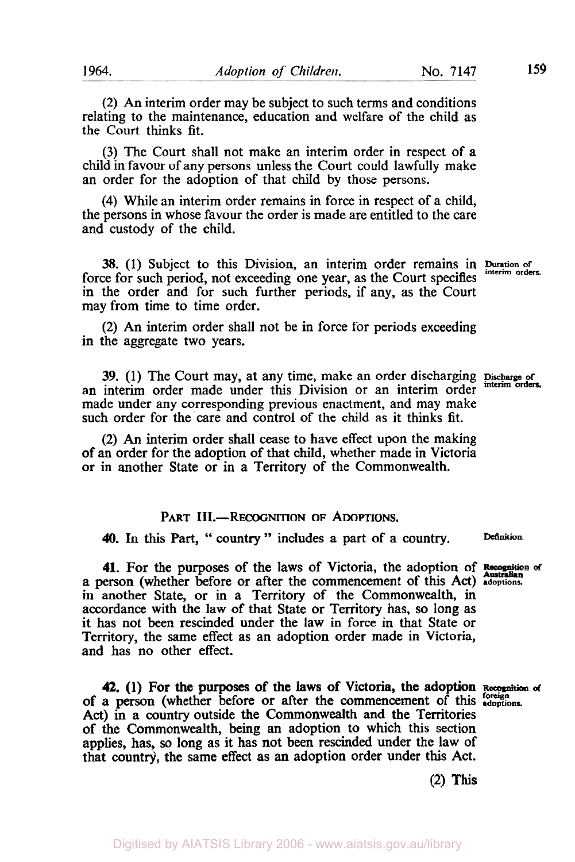(2) An interim order may be subject to such terms and conditions relating to the maintenance, education and welfare of the child as the Court thinks fit.

(3) The Court shall not make an interim order in respect of a child in favour of any persons unless the Court could lawfully make an order for the adoption of that child by those persons.

(4) While an interim order remains in force in respect of a child, the persons in whose favour the order is made are entitled to the care and custody of the child.

**38.** (1) Subject to this Division, an interim order remains in Duration of the form orders. force for such period, not exceeding one year, as the Court specifies in the order and for such further periods, if any, as the Court may from time to time order.

(2) An interim order shall not be in force for periods exceeding in the aggregate two years.

39. **(1)** The Court may, at any time, make an order discharging *Discharge* **of interim orders.**  an interim order made under this Division or an interim order made under any corresponding previous enactment, and may make such order for the care and control of the child as it thinks fit.

(2) *An* interim order shall cease to have effect upon the making of an order for the adoption of that child, whether made in Victoria or in another State or in a Territory of the Commonwealth.

## PART **III.**-RECOGNITION OF ADOPTIONS.

**40.** In **this** Part, " country " includes a part of a country. **Definition.** 

**41.** For the purposes of the laws of Victoria, the adoption of **Recognition** of a person (whether before or after the commencement of this Act) **adoptions.**  in another State, or in a Territory of the Commonwealth, in accordance with the law of that State or Territory has, *so* long as it has not been rescinded under the law in force in that State or Territory, the same effect as an adoption order made in Victoria, and has no other effect.

**42.** (1) For the purposes of the laws of Victoria, the adoption **Recognition of**  of a person (whether before or after the commencement of this *Recognitions*. Act) in a country outside the Commonwealth and the Territories of the Commonwealth, being an adoption to which this section applies, has, so long as it has not been rescinded under the law of that country, the same effect as **an** adoption order under this Act.

**(2) This**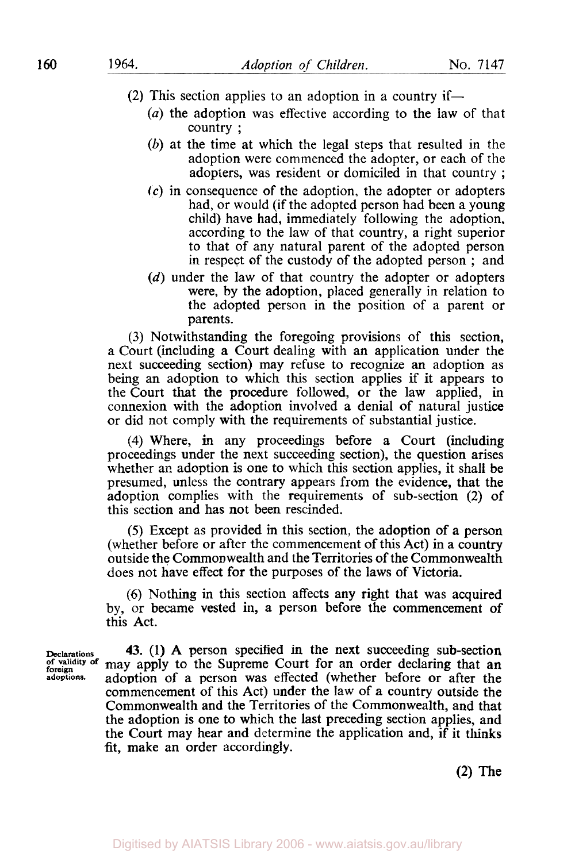**(2)** This section applies to an adoption in a country if-

- *(a)* the adoption was effective according to the law of that country ;
- *(b)* at the time at which the legal steps that resulted in the adoption were commenced the adopter, or each of the adopters, was resident or domiciled in that country ;
- **(c)** in consequence of the adoption, the adopter or adopters had, or would (if the adopted person had been a young child) have had, immediately following the adoption. according to the law of that country, a right superior to that of any natural parent of the adopted person in respect of the custody of the adopted person ; and
- *(d)* under the law of that country the adopter or adopters were, by the adoption, placed generally in relation to the adopted person in the position of a parent or parents.

**(3)** Notwithstanding the foregoing provisions of this section, a Court (including a Court dealing with an application under the next succeeding section) may refuse to recognize an adoption as being an adoption **to** which **this** section applies if it appears to the Court that the procedure followed, or the law applied, in connexion with the adoption involved a denial of natural justice or did not comply with the requirements of substantial justice.

**(4)** Where, in any proceedings before a Court (including proceedings under the next succeeding section), the question arises whether an adoption is one to which this section applies, it shall be presumed, unless the contrary appears from the evidence, that the adoption complies with the requirements of sub-section (2) of this section and has not been rescinded.

*(5)* Except as provided in this section, the adoption of a person (whether before or after the commencement of this Act) in a country outside the Commonwealth and the Territories of the Commonwealth does not have effect for the purposes of the laws of Victoria.

*(6)* Nothing in this section affects any right that was acquired by, or became vested in, a person before the commencement of this Act.

**Declarations 43.** (1) A person specified in the next succeeding sub-section of validity of may apply to the Supreme Court for an order declaring that an may apply to the Supreme Court for an order declaring that an **adoptions.** adoption of a person was effected (whether before or after the commencement of this Act) under the law of **a** country outside the Commonwealth and the Territories of the Commonwealth, and that the adoption **is** one to which the last preceding section applies, and the Court may hear and determine the application and, if it thinks fit, make an order accordingly.

**(2) The**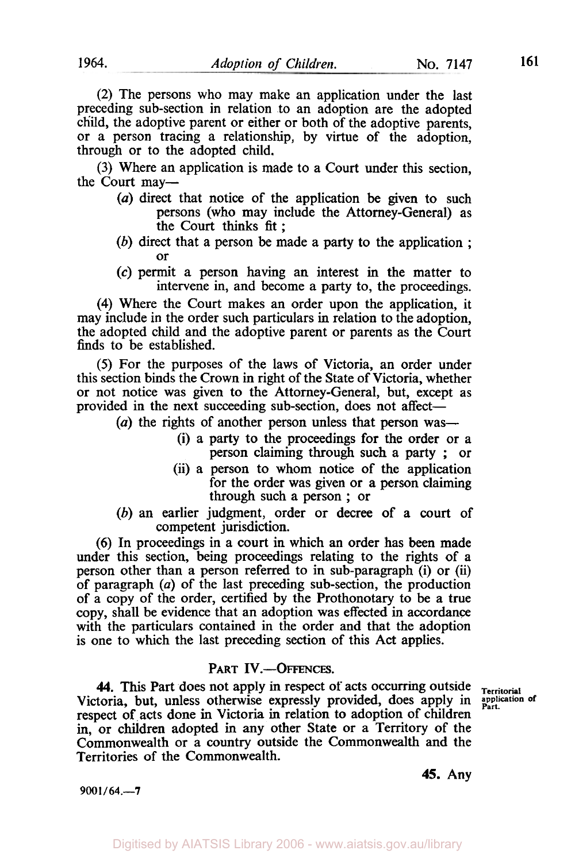(2) The persons who may make an application under the last preceding sub-section in relation to an adoption are the adopted child, the adoptive parent or either or both of the adoptive parents, or a person tracing a relationship, by virtue of the adoption, through or to the adopted child.

(3) Where an application is made to a Court under this section, the Court may-

- *(a)* direct that notice of the application be given to such persons (who may include the Attorney-General) as the Court thinks fit:
- (b) direct that a person be made a party to the application ; or
- *(c)* permit a person having an interest in the matter to intervene in, and become a party to, the proceedings.

**(4)** Where the Court makes an order upon the application, it may include in the order such particulars in relation to the adoption, the adopted child and the adoptive parent or parents as the Court finds to be established.

*(5)* For the purposes of the laws of Victoria, an order under this section binds the Crown in right of the State of Victoria, whether or not notice was given to the Attorney-General, but, except as provided in the next succeeding sub-section, does not affect-

(a) the rights of another person unless that person was-

- (i) a party to the proceedings for the order or a person claiming through such a party ; or
- (ii) a person to whom notice of the application for the order was given or a person claiming through such a person ; or
- (b) an earlier judgment, order or decree of a court of competent jurisdiction.

(6) In proceedings in a court in which an order has been made under this section, being proceedings relating to the rights of a person other than a person referred to in sub-paragraph (i) or (ii) of paragraph (a) of the last preceding sub-section, the production of a copy of the order, certified by the Prothonotary to be a true copy, shall be evidence that an adoption was effected in accordance with the particulars contained in the order and that the adoption is one to which the last preceding section of this Act applies.

#### PART **IV.-OFFENCES.**

**44.** This Part does not apply in respect of acts occurring outside Territorial toria, but, unless otherwise expressly provided, does apply in application of Victoria, but, unless otherwise expressly provided, does apply in respect of acts done in Victoria in relation to adoption of children in, or children adopted in any other State or a Territory of the Commonwealth or a country outside the Commonwealth and the Territories of the Commonwealth.

**9001/64.-7** 

**45.** Any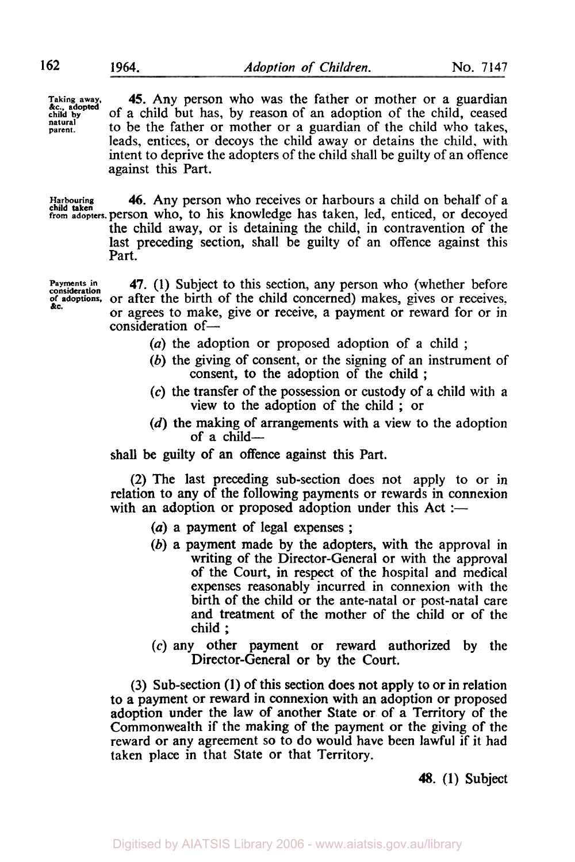**Taking away, chlid by**  *&c.,* **adopted parent. natural** 

**45.** Any person who was the father or mother or a guardian of a child but has, by reason of an adoption of the child, ceased to be the father or mother or a guardian of the child who takes, leads, entices, or decoys the child away or detains the child, with intent to deprive the adopters of the child shall be guilty of an offence against this Part.

**Harbouring** *46.* Any person who receives or harbours a child on behalf of a **from adopters. person** who, to his knowledge has taken, led, enticed, or decoyed **child taken**  the child away, or is detaining the child, in contravention of the last preceding section, shall be guilty of an offence against this Part.

**consideration &C.** 

**Payments in 47. (1) Subject to this section, any person who (whether before of adoptions,** or after the birth of the child concerned) makes, gives or receives. or agrees to make, give or receive, a payment or reward for or in consideration of-

- (a) the adoption or proposed adoption of a child ;
- (b) the giving of consent, or the signing of an instrument of consent, to the adoption of the child ;
- *(c)* the transfer of the possession or custody of a child with a view to the adoption of the child ; or
- (d) the making of arrangements with a view to the adoption of a child $-$

shall be guilty of an offence against this Part.

(2) The last preceding sub-section does not apply to or in relation to any of the following payments or rewards in connexion with an adoption or proposed adoption under this  $Act :=$ 

- (*a*) a payment of legal expenses ;
- *(b)* a payment made by the adopters, with the approval in writing of the Director-General or with the approval of the Court, in respect of the hospital and medical expenses reasonably incurred in connexion with the birth of the child or the ante-natal or post-natal care and treatment of the mother of the child or of the child ;
- *(c)* any other payment or reward authorized by the Director-General or by the Court.

(3) Sub-section (1) of this section does not apply to or in relation to a payment or reward in connexion with an adoption or proposed adoption under the law of another State or of a Territory of the Commonwealth if the making of the payment or the giving of the reward or any agreement so to do would have been lawful if it had taken place in that State or that Territory.

48. (1) Subject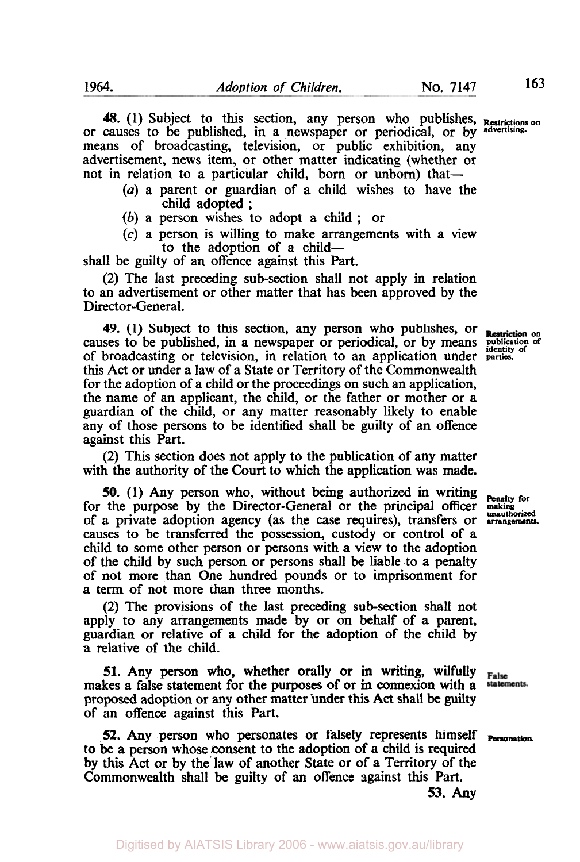48. (1) Subject to this section, any person who publishes, **Restrictions on**  or causes to be published, in a newspaper or periodical, or by **advertising**means of broadcasting, television, or public exhibition, any advertisement, news item, or other matter indicating (whether or not in relation to a particular child, born or unborn) that-

- *(a)* a parent or guardian of a child wishes to have the child adopted ;
- *(b)* **a** person wishes to adopt a child ; or
- *(c)* a person is willing to make arrangements with a view to the adoption of a child-

shall be guilty of an offence against this Part.

(2) The last preceding sub-section shall not apply in relation to an advertisement or other matter that has been approved by the Director-General.

**49.** (1) Subject to this section, any person who publishes, or **Restriction** on ises to be published, in a newspaper or periodical, or by means **publication** of causes to be published, in a newspaper or periodical, or by means of broadcasting or television, in relation to an application under parties. this Act or under a law of a State or Territory of the Commonwealth for the adoption of a child or the proceedings on such an application, the name of an applicant, the child, or the father or mother or a guardian of the child, or any matter reasonably likely to enable any of those persons to be identified shall be guilty of an offence against this Part.

(2) This section does not apply to the publication of any matter with the authority of the Court to which the application was made.

**50.** (1) Any person who, without being authorized in writing **Penalty for** the purpose by the Director-General or the principal officer **making** for the purpose by the Director-General or the principal officer of a private adoption agency (as the case requires), transfers or **arrangements**  causes to be transferred the possession, custody or control of a child to some other person or persons with a view to the adoption of the child by such person or persons shall **be** liable to a penalty of not more than One hundred pounds or to imprisonment for a term of not more than three months.

(2) The provisions of the last preceding sub-section shall not apply to any arrangements made by or on behalf of **a** parent, guardian or relative of a child for the adoption of the child by **a** relative of the child.

**51.** Any **person** who, whether orally or in writing, wilfully makes a false statement for the purposes of or in connexion with a proposed adoption or any other matter under this **Act** shall be guilty of an offence against this Part.

**52.** Any person who personates or falsely represents himself **Personation to** be a person whose consent to the adoption of a child is required by this Act or by the' law of another State or of a Territory of the Commonwealth shall be guilty of **an** offence against this Part.

False statements.

**53. Any** 

Digitised by AIATSIS Library 2006 - www.aiatsis.gov.au/library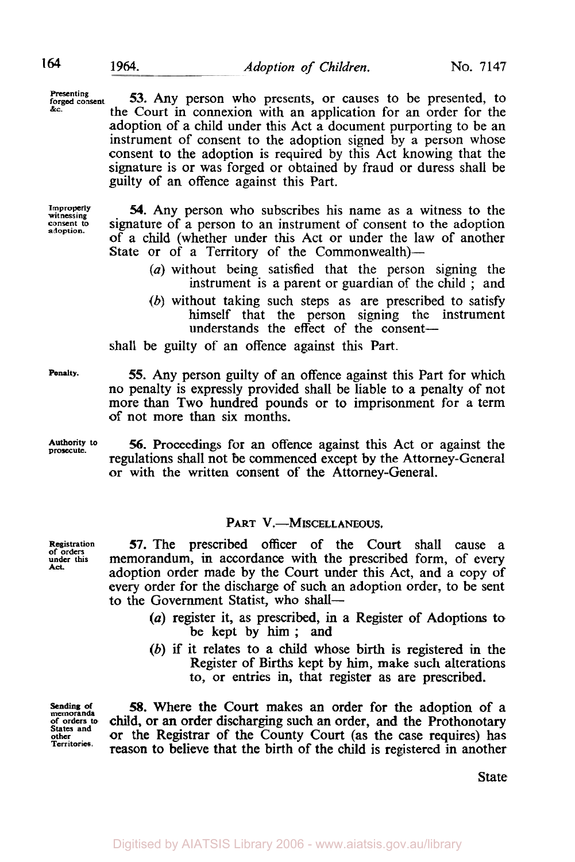**Presenting forged consent 53.** Any person who presents, or causes to be presented, to the Court in connexion with an application for an order for the adoption of a child under this Act a document purporting to be an instrument of consent to the adoption signed by a person whose consent to the adoption is required by this Act knowing that the signature is or was forged or obtained by fraud or duress shall be guilty of an offence against this Part.

**Improperly witnessing consent to adoption.** 

*54.* Any person who subscribes his name as a witness to the signature of a person to an instrument of consent to the adoption of a child (whether under this Act or under the law of another State or of a Territory of the Commonwealth)-

- *(a)* without being satisfied that the person signing the instrument is a parent or guardian of the child ; and
- *(b)* without taking such steps as are prescribed to satisfy himself that the person signing the instrument understands the effect of the consent-

**Penalty.** 

**Authority to prosecute.** 

**Registration of orders under this Act.** 

*56.* Proceedings for an offence against this Act or against the regulations shall not be commenced except by the Attorney-General or with the written consent of the Attorney-General.

# PART **V.-MISCELLANEOUS.**

*57.* The prescribed officer of the Court shall cause a memorandum, in accordance with the prescribed form, of every adoption order made by the Court under this Act, and a copy of every order for the discharge of such an adoption order, to be sent to the Government Statist, who shall-

- *(a)* register it, as prescribed, in a Register of Adoptions to be kept by him; and
- *(b)* if it relates to a child whose birth is registered in the Register of Births kept by him, make such alterations to, or entries in, that register as are prescribed.

**Sending of memoranda of orders to States and other Territories.** 

**58.** Where the Court makes an order for the adoption of a child, or **an** order discharging such an order, and the Prothonotary or the Registrar of the County Court (as the case requires) has reason to believe that the birth of the child **is** registered in another

State

shall be guilty of an offence against this Part. *55.* Any person guilty of an offence against this Part for which no penalty is expressly provided shall be liable to a penalty of not more than Two hundred pounds or to imprisonment for a term of not more than six months.

**&C.**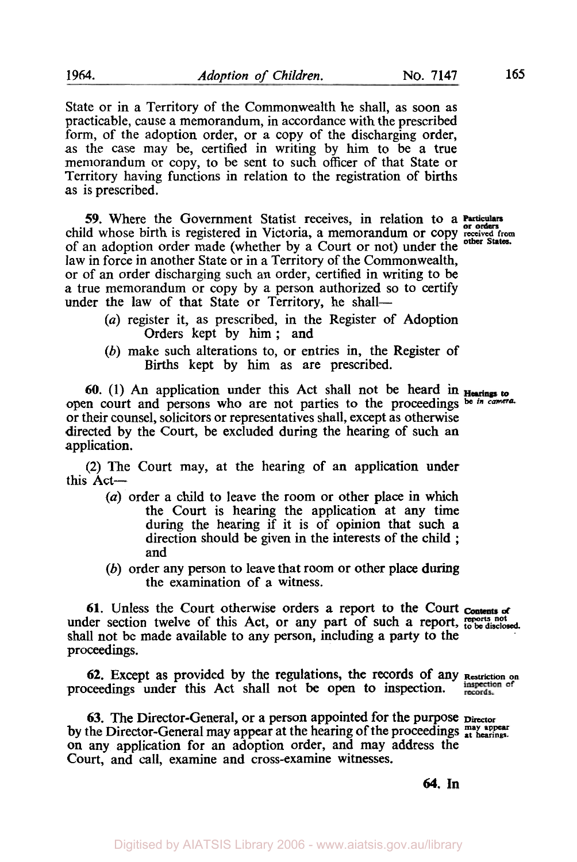State or in a Territory of the Commonwealth he shall, as soon as practicable, cause a memorandum, in accordance with the prescribed form, of the adoption order, or a copy of the discharging order, as the case may be, certified in writing by him to be a true memorandum or copy, to be sent to such officer of that State or Territory having functions in relation to the registration of births as is prescribed.

*59.* Where the Government Statist receives, in relation to a child whose birth is registered in Victoria, a memorandum or copy received from of an adoption order made (whether by a Court or not) under the **other States.**  law in force in another State or in a Territory of the Commonwealth, or of an order discharging such an order, certified in writing to be a true memorandum or copy by a person authorized so to certify under the law of that State or Territory, he shall-

- *(a)* register it, as prescribed, in the Register of Adoption Orders kept by him ; and
- *(b)* make such alterations to, or entries in, the Register of Births kept by him as are prescribed.

**60.** (1) An application under this Act shall not be heard in **Hearings** to open court and persons who are not parties to the proceedings be *in camera*. or their counsel, solicitors or representatives shall, except as otherwise directed by the Court, be excluded during the hearing of such an application.

(2) The Court may, at the hearing of an application under this Act-

- *(a)* order a child to leave the room or other place in which the Court is hearing the application at any time during the hearing if it is of opinion that such a direction should be given in the interests of the child ; and
- *(b)* order any person to leave that room or other place during the examination of a witness.

**61.** Unless the Court otherwise orders **a** report **to** the Court *ot*  under section twelve of this Act, or any part of such a report, reports not shall not be made available to any person, including a party to the proceedings.

proceedings under this Act shall not be **open** to inspection. **62.** Except as provided by the regulations, **the** records of any **Restriction on** 

63. The Director-General, or a person appointed for the purpose  $_{\text{Director}}$ by the Director-General may appear at the hearing of the proceedings **at a bearings**. on any application for an adoption order, and may address the Court, and call, examine and cross-examine witnesses.

**64. In** 

records.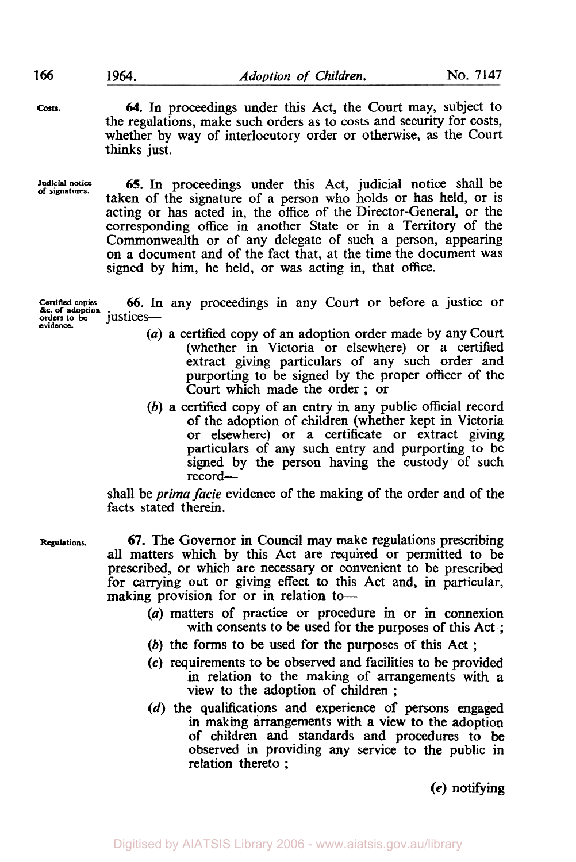**Costs.** *64.* In proceedings under this Act, the Court may, subject to the regulations, make such orders as to costs and security for costs, whether by way of interlocutory order or otherwise, as the Court thinks just.

**Judicial notice of signatures. 65.** In proceedings under this Act, judicial notice shall be taken of the signature of a person who holds or has held, or is acting or has acted in, the office of the Director-General, or the corresponding office in another State or in a Territory of the Commonwealth or of any delegate of such a person, appearing on a document and of the fact that, at the time the document was signed by him, he held, or was acting in, that office.

**Certified copies** 66. In any proceedings in any Court or before a justice or *&c.* **of adoption orders** *to* **be** justices**evidence.** 

- *(a)* a certified copy of an adoption order made by any Court (whether in Victoria or elsewhere) or a certified extract giving particulars of any such order and purporting to be signed by the proper officer of the Court which made the order ; or
- (b) a certified copy of an entry **in** any public official record of the adoption of children (whether kept in Victoria or elsewhere) or a certificate or extract giving particulars of any such entry and purporting to be signed by the person having the custody of such record-

shall be *prima facie* evidence of the making of the order and of the facts stated therein.

**Regulations. 67.** The Governor in Council may make regulations prescribing all matters which by this Act are required or permitted to be prescribed, or which are necessary or convenient to be prescribed for carrying out or giving effect to this Act and, in particular, making provision for or in relation to-

- *(a)* matters of practice or procedure in or in connexion with consents to be used for the purposes of this Act ;
- (b) the forms to be used for the purposes of this **Act** ;
- *(c)* requirements to be observed and facilities to be provided in relation to the making of arrangements with a view to the adoption of children ;
- **(d)** the qualifications and experience of persons engaged in making arrangements with a view to the adoption of children and standards and procedures to **be**  observed in providing any service to the public in relation thereto ;

**(e)** notifying